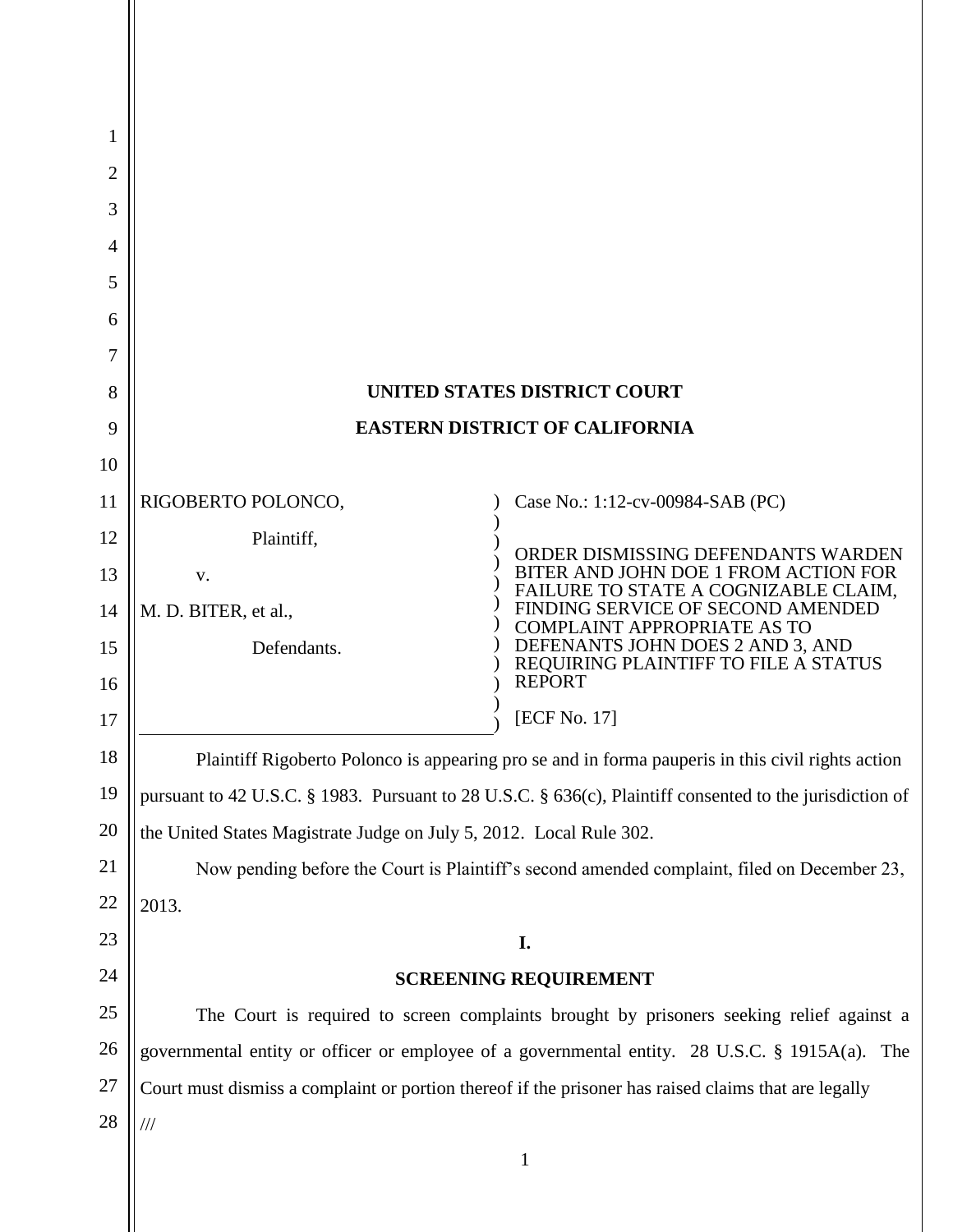| 1        |                                                                                                             |                                                                              |  |
|----------|-------------------------------------------------------------------------------------------------------------|------------------------------------------------------------------------------|--|
| 2        |                                                                                                             |                                                                              |  |
| 3        |                                                                                                             |                                                                              |  |
| 4        |                                                                                                             |                                                                              |  |
| 5        |                                                                                                             |                                                                              |  |
| 6        |                                                                                                             |                                                                              |  |
| 7        |                                                                                                             |                                                                              |  |
| 8        | UNITED STATES DISTRICT COURT                                                                                |                                                                              |  |
| 9        | <b>EASTERN DISTRICT OF CALIFORNIA</b>                                                                       |                                                                              |  |
| 10       |                                                                                                             |                                                                              |  |
| 11       | RIGOBERTO POLONCO,                                                                                          | Case No.: 1:12-cv-00984-SAB (PC)                                             |  |
| 12       | Plaintiff,                                                                                                  | ORDER DISMISSING DEFENDANTS WARDEN                                           |  |
| 13       | V.                                                                                                          | BITER AND JOHN DOE 1 FROM ACTION FOR<br>FAILURE TO STATE A COGNIZABLE CLAIM, |  |
| 14       | M. D. BITER, et al.,                                                                                        | FINDING SERVICE OF SECOND AMENDED<br><b>COMPLAINT APPROPRIATE AS TO</b>      |  |
| 15       | Defendants.                                                                                                 | DEFENANTS JOHN DOES 2 AND 3, AND REQUIRING PLAINTIFF TO FILE A STATUS        |  |
| 16       |                                                                                                             | <b>REPORT</b>                                                                |  |
| 17       |                                                                                                             | [ECF No. 17]                                                                 |  |
| 18       | Plaintiff Rigoberto Polonco is appearing pro se and in forma pauperis in this civil rights action           |                                                                              |  |
| 19       | pursuant to 42 U.S.C. § 1983. Pursuant to 28 U.S.C. § 636(c), Plaintiff consented to the jurisdiction of    |                                                                              |  |
| 20       | the United States Magistrate Judge on July 5, 2012. Local Rule 302.                                         |                                                                              |  |
| 21       | Now pending before the Court is Plaintiff's second amended complaint, filed on December 23,                 |                                                                              |  |
| 22       | 2013.                                                                                                       |                                                                              |  |
| 23<br>24 | I.                                                                                                          |                                                                              |  |
| 25       | <b>SCREENING REQUIREMENT</b>                                                                                |                                                                              |  |
| 26       | The Court is required to screen complaints brought by prisoners seeking relief against a                    |                                                                              |  |
| 27       | governmental entity or officer or employee of a governmental entity. 28 U.S.C. § 1915A(a). The              |                                                                              |  |
| 28       | Court must dismiss a complaint or portion thereof if the prisoner has raised claims that are legally<br>/// |                                                                              |  |
|          |                                                                                                             | 1                                                                            |  |
|          |                                                                                                             |                                                                              |  |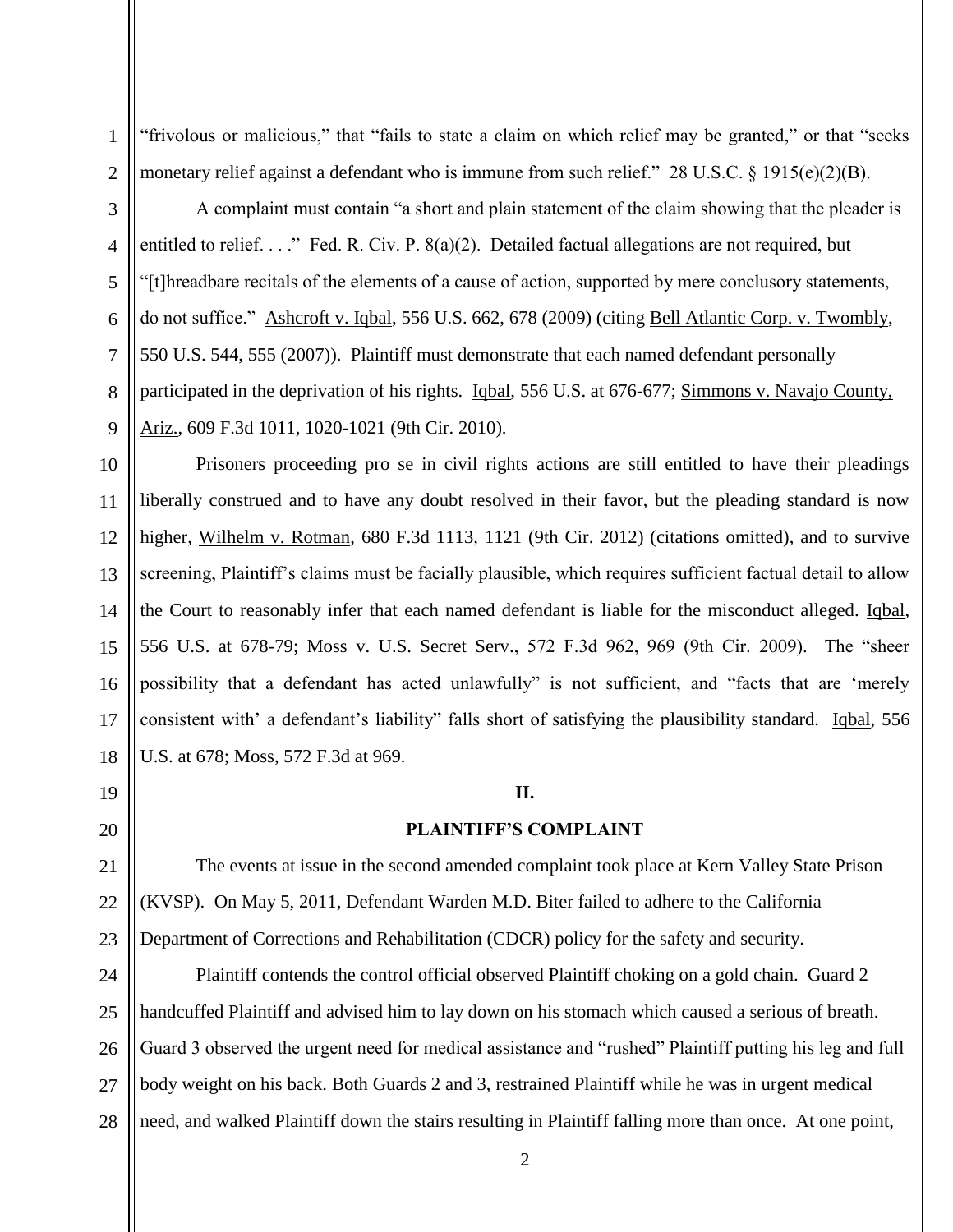"frivolous or malicious," that "fails to state a claim on which relief may be granted," or that "seeks monetary relief against a defendant who is immune from such relief." 28 U.S.C. § 1915(e)(2)(B).

A complaint must contain "a short and plain statement of the claim showing that the pleader is entitled to relief. . . ." Fed. R. Civ. P. 8(a)(2). Detailed factual allegations are not required, but "[t]hreadbare recitals of the elements of a cause of action, supported by mere conclusory statements, do not suffice." Ashcroft v. Iqbal, 556 U.S. 662, 678 (2009) (citing Bell Atlantic Corp. v. Twombly, 550 U.S. 544, 555 (2007)). Plaintiff must demonstrate that each named defendant personally participated in the deprivation of his rights. Iqbal, 556 U.S. at 676-677; Simmons v. Navajo County, Ariz., 609 F.3d 1011, 1020-1021 (9th Cir. 2010).

Prisoners proceeding pro se in civil rights actions are still entitled to have their pleadings liberally construed and to have any doubt resolved in their favor, but the pleading standard is now higher, Wilhelm v. Rotman, 680 F.3d 1113, 1121 (9th Cir. 2012) (citations omitted), and to survive screening, Plaintiff's claims must be facially plausible, which requires sufficient factual detail to allow the Court to reasonably infer that each named defendant is liable for the misconduct alleged. Iqbal, 556 U.S. at 678-79; Moss v. U.S. Secret Serv., 572 F.3d 962, 969 (9th Cir. 2009). The "sheer possibility that a defendant has acted unlawfully" is not sufficient, and "facts that are 'merely consistent with' a defendant's liability" falls short of satisfying the plausibility standard. Iqbal, 556 U.S. at 678; Moss, 572 F.3d at 969.

# **II.**

# **PLAINTIFF'S COMPLAINT**

The events at issue in the second amended complaint took place at Kern Valley State Prison (KVSP). On May 5, 2011, Defendant Warden M.D. Biter failed to adhere to the California Department of Corrections and Rehabilitation (CDCR) policy for the safety and security.

28 Plaintiff contends the control official observed Plaintiff choking on a gold chain. Guard 2 handcuffed Plaintiff and advised him to lay down on his stomach which caused a serious of breath. Guard 3 observed the urgent need for medical assistance and "rushed" Plaintiff putting his leg and full body weight on his back. Both Guards 2 and 3, restrained Plaintiff while he was in urgent medical need, and walked Plaintiff down the stairs resulting in Plaintiff falling more than once. At one point,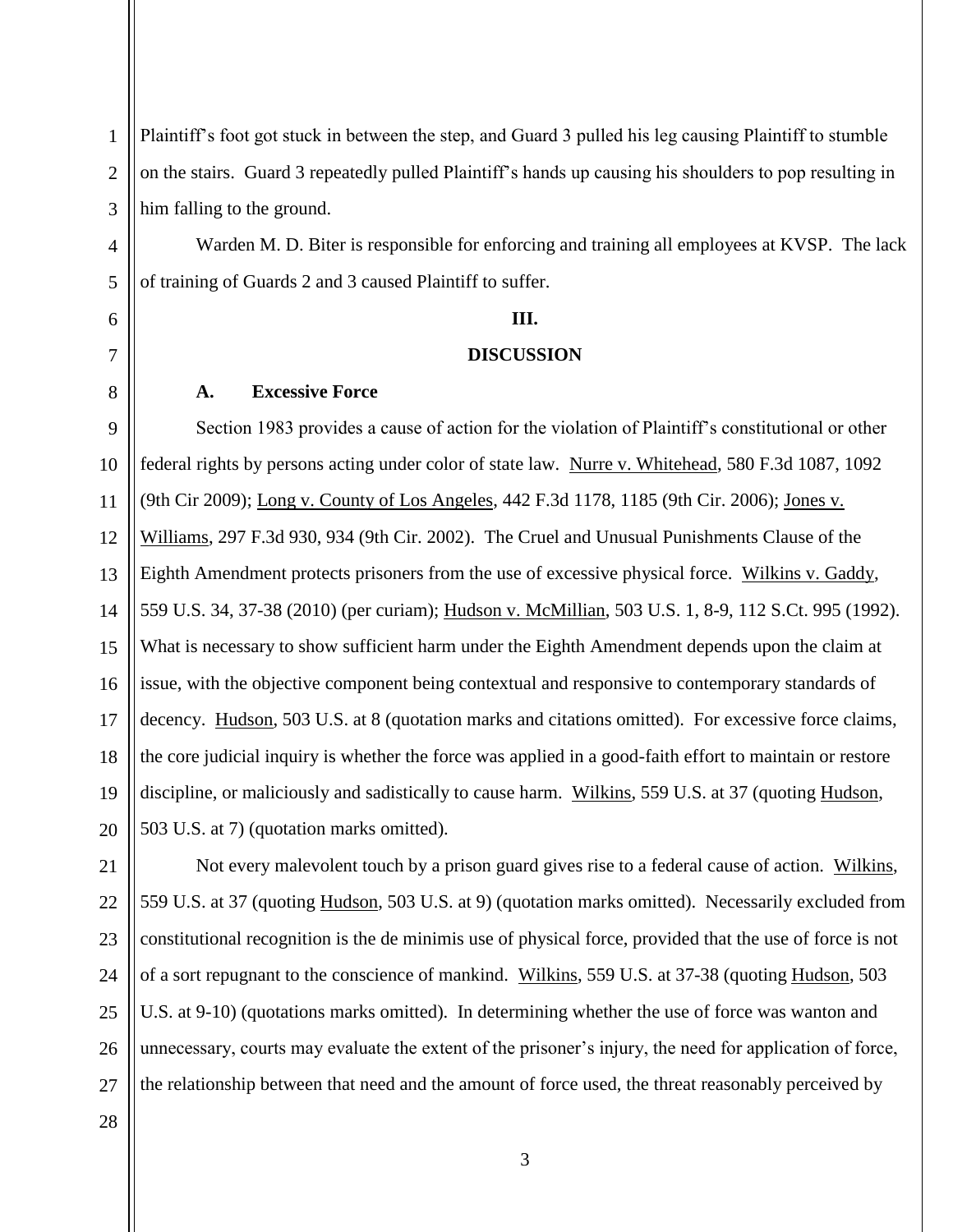1 2 3 Plaintiff's foot got stuck in between the step, and Guard 3 pulled his leg causing Plaintiff to stumble on the stairs. Guard 3 repeatedly pulled Plaintiff's hands up causing his shoulders to pop resulting in him falling to the ground.

Warden M. D. Biter is responsible for enforcing and training all employees at KVSP. The lack of training of Guards 2 and 3 caused Plaintiff to suffer.

#### **III.**

# **DISCUSSION**

### **A. Excessive Force**

9 10 11 12 13 14 15 16 17 18 19 20 Section 1983 provides a cause of action for the violation of Plaintiff's constitutional or other federal rights by persons acting under color of state law. Nurre v. Whitehead, 580 F.3d 1087, 1092 (9th Cir 2009); Long v. County of Los Angeles, 442 F.3d 1178, 1185 (9th Cir. 2006); Jones v. Williams, 297 F.3d 930, 934 (9th Cir. 2002). The Cruel and Unusual Punishments Clause of the Eighth Amendment protects prisoners from the use of excessive physical force. Wilkins v. Gaddy, 559 U.S. 34, 37-38 (2010) (per curiam); Hudson v. McMillian, 503 U.S. 1, 8-9, 112 S.Ct. 995 (1992). What is necessary to show sufficient harm under the Eighth Amendment depends upon the claim at issue, with the objective component being contextual and responsive to contemporary standards of decency. Hudson, 503 U.S. at 8 (quotation marks and citations omitted). For excessive force claims, the core judicial inquiry is whether the force was applied in a good-faith effort to maintain or restore discipline, or maliciously and sadistically to cause harm. Wilkins, 559 U.S. at 37 (quoting Hudson, 503 U.S. at 7) (quotation marks omitted).

21 22 23 24 25 Not every malevolent touch by a prison guard gives rise to a federal cause of action. Wilkins, 559 U.S. at 37 (quoting Hudson, 503 U.S. at 9) (quotation marks omitted). Necessarily excluded from constitutional recognition is the de minimis use of physical force, provided that the use of force is not of a sort repugnant to the conscience of mankind. Wilkins, 559 U.S. at 37-38 (quoting Hudson, 503 U.S. at 9-10) (quotations marks omitted). In determining whether the use of force was wanton and unnecessary, courts may evaluate the extent of the prisoner's injury, the need for application of force, the relationship between that need and the amount of force used, the threat reasonably perceived by

3

26 27 28

4

5

6

7

8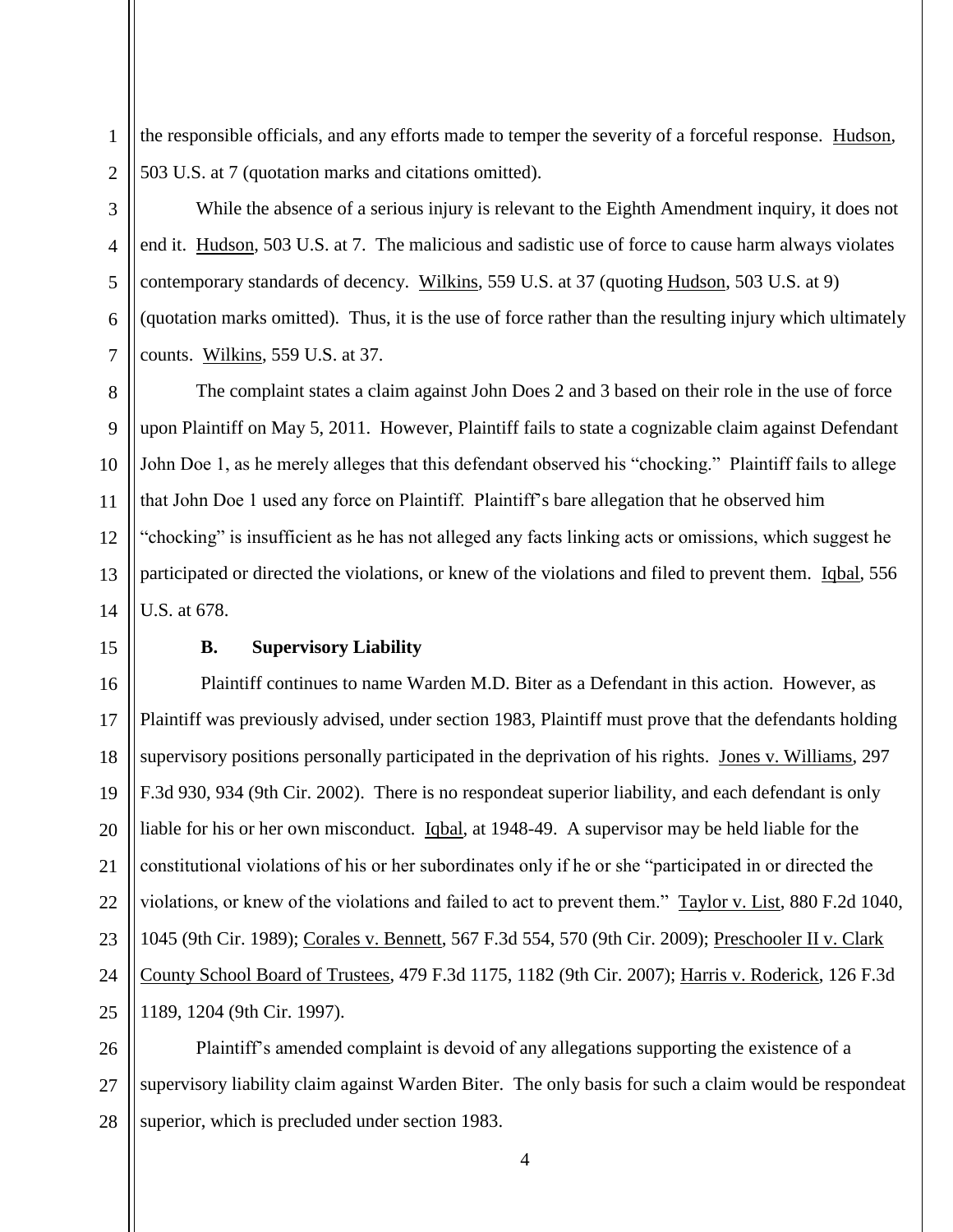the responsible officials, and any efforts made to temper the severity of a forceful response. Hudson, 503 U.S. at 7 (quotation marks and citations omitted).

2

1

While the absence of a serious injury is relevant to the Eighth Amendment inquiry, it does not end it. Hudson, 503 U.S. at 7. The malicious and sadistic use of force to cause harm always violates contemporary standards of decency. Wilkins, 559 U.S. at 37 (quoting Hudson, 503 U.S. at 9) (quotation marks omitted). Thus, it is the use of force rather than the resulting injury which ultimately counts. Wilkins, 559 U.S. at 37.

The complaint states a claim against John Does 2 and 3 based on their role in the use of force upon Plaintiff on May 5, 2011. However, Plaintiff fails to state a cognizable claim against Defendant John Doe 1, as he merely alleges that this defendant observed his "chocking." Plaintiff fails to allege that John Doe 1 used any force on Plaintiff. Plaintiff's bare allegation that he observed him "chocking" is insufficient as he has not alleged any facts linking acts or omissions, which suggest he participated or directed the violations, or knew of the violations and filed to prevent them. Iqbal, 556 U.S. at 678.

## **B. Supervisory Liability**

 Plaintiff continues to name Warden M.D. Biter as a Defendant in this action. However, as Plaintiff was previously advised, under section 1983, Plaintiff must prove that the defendants holding supervisory positions personally participated in the deprivation of his rights. Jones v. Williams, 297 F.3d 930, 934 (9th Cir. 2002). There is no respondeat superior liability, and each defendant is only liable for his or her own misconduct. Igbal, at 1948-49. A supervisor may be held liable for the constitutional violations of his or her subordinates only if he or she "participated in or directed the violations, or knew of the violations and failed to act to prevent them." Taylor v. List, 880 F.2d 1040, 1045 (9th Cir. 1989); Corales v. Bennett, 567 F.3d 554, 570 (9th Cir. 2009); Preschooler II v. Clark County School Board of Trustees, 479 F.3d 1175, 1182 (9th Cir. 2007); Harris v. Roderick, 126 F.3d 1189, 1204 (9th Cir. 1997).

Plaintiff's amended complaint is devoid of any allegations supporting the existence of a supervisory liability claim against Warden Biter. The only basis for such a claim would be respondeat superior, which is precluded under section 1983.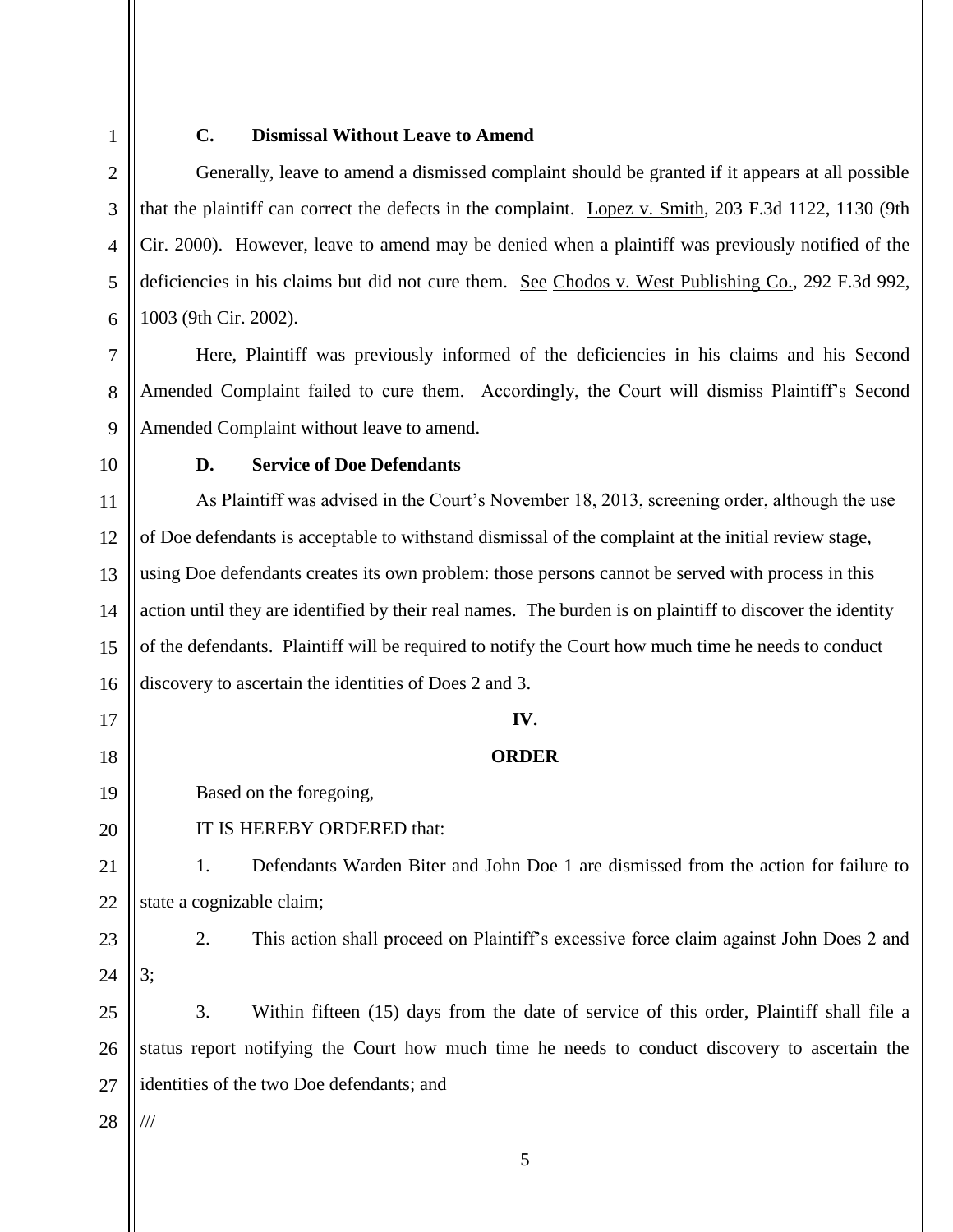1 2

3

4

5

6

7

8

# **C. Dismissal Without Leave to Amend**

Generally, leave to amend a dismissed complaint should be granted if it appears at all possible that the plaintiff can correct the defects in the complaint. Lopez v. Smith, 203 F.3d 1122, 1130 (9th Cir. 2000). However, leave to amend may be denied when a plaintiff was previously notified of the deficiencies in his claims but did not cure them. See Chodos v. West Publishing Co., 292 F.3d 992, 1003 (9th Cir. 2002).

Here, Plaintiff was previously informed of the deficiencies in his claims and his Second Amended Complaint failed to cure them. Accordingly, the Court will dismiss Plaintiff's Second Amended Complaint without leave to amend.

9 10

### **D. Service of Doe Defendants**

11 12 13 14 15 16 As Plaintiff was advised in the Court's November 18, 2013, screening order, although the use of Doe defendants is acceptable to withstand dismissal of the complaint at the initial review stage, using Doe defendants creates its own problem: those persons cannot be served with process in this action until they are identified by their real names. The burden is on plaintiff to discover the identity of the defendants. Plaintiff will be required to notify the Court how much time he needs to conduct discovery to ascertain the identities of Does 2 and 3.

### **IV.**

# **ORDER**

Based on the foregoing,

IT IS HEREBY ORDERED that:

21 22 1. Defendants Warden Biter and John Doe 1 are dismissed from the action for failure to state a cognizable claim;

23 24

17

18

19

20

2. This action shall proceed on Plaintiff's excessive force claim against John Does 2 and 3;

25 26 27 3. Within fifteen (15) days from the date of service of this order, Plaintiff shall file a status report notifying the Court how much time he needs to conduct discovery to ascertain the identities of the two Doe defendants; and

28 ///